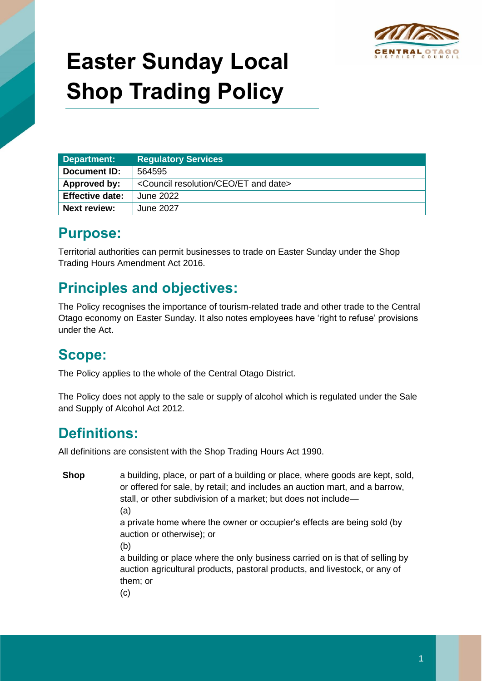

# **Easter Sunday Local Shop Trading Policy**

| Department:            | <b>Regulatory Services</b>                                    |
|------------------------|---------------------------------------------------------------|
| Document ID:           | 564595                                                        |
| Approved by:           | <council and="" ceo="" date="" et="" resolution=""></council> |
| <b>Effective date:</b> | June 2022                                                     |
| <b>Next review:</b>    | June 2027                                                     |

#### **Purpose:**

Territorial authorities can permit businesses to trade on Easter Sunday under the Shop Trading Hours Amendment Act 2016.

## **Principles and objectives:**

The Policy recognises the importance of tourism-related trade and other trade to the Central Otago economy on Easter Sunday. It also notes employees have 'right to refuse' provisions under the Act.

#### **Scope:**

The Policy applies to the whole of the Central Otago District.

The Policy does not apply to the sale or supply of alcohol which is regulated under the Sale and Supply of Alcohol Act 2012.

## **Definitions:**

All definitions are consistent with the Shop Trading Hours Act 1990.

**Shop** a building, place, or part of a building or place, where goods are kept, sold, or offered for sale, by retail; and includes an auction mart, and a barrow, stall, or other subdivision of a market; but does not include— (a)

> a private home where the owner or occupier's effects are being sold (by auction or otherwise); or

(b)

a building or place where the only business carried on is that of selling by auction agricultural products, pastoral products, and livestock, or any of them; or

(c)